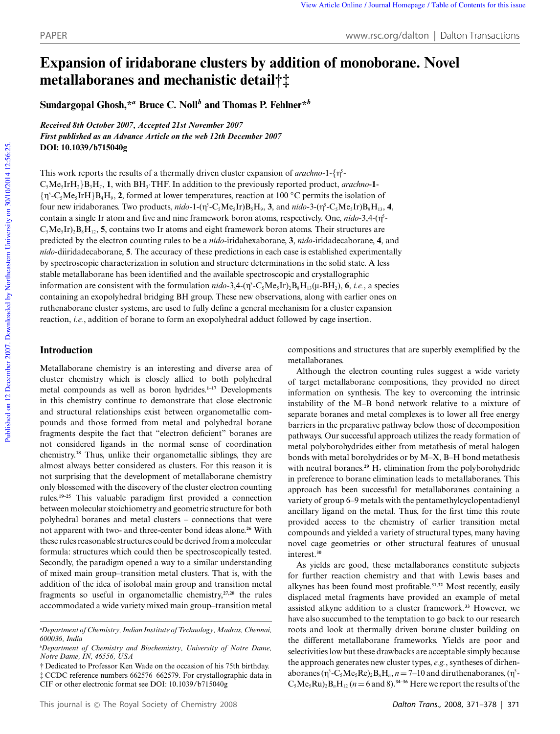# **Expansion of iridaborane clusters by addition of monoborane. Novel metallaboranes and mechanistic detail†‡**

**Sundargopal Ghosh,\****<sup>a</sup>* **Bruce C. Noll***<sup>b</sup>* **and Thomas P. Fehlner\****<sup>b</sup>*

*Received 8th October 2007, Accepted 21st November 2007 First published as an Advance Article on the web 12th December 2007* **DOI: 10.1039/b715040g**

This work reports the results of a thermally driven cluster expansion of *arachno*-1-{η<sup>5</sup>- $C_5$ Me<sub>5</sub>IrH<sub>2</sub>}B<sub>3</sub>H<sub>7</sub>, 1, with BH<sub>3</sub>. THF. In addition to the previously reported product, *arachno*-1-{g 5 -C5Me5IrH}B4H<sup>9</sup> , **2**, formed at lower temperatures, reaction at 100 ◦C permits the isolation of four new iridaboranes. Two products,  $nido$ -1-( $\eta$ <sup>5</sup>-C<sub>5</sub>Me<sub>5</sub>Ir)B<sub>5</sub>H<sub>9</sub>, 3, and  $nido$ -3-( $\eta$ <sup>5</sup>-C<sub>5</sub>Me<sub>5</sub>Ir)B<sub>9</sub>H<sub>13</sub>, 4, contain a single Ir atom and five and nine framework boron atoms, respectively. One, *nido-3*,4- $(\eta^5 C_5Me_5Ir$ <sub>2</sub>B<sub>8</sub>H<sub>12</sub>, **5**, contains two Ir atoms and eight framework boron atoms. Their structures are predicted by the electron counting rules to be a *nido*-iridahexaborane, **3**, *nido*-iridadecaborane, **4**, and *nido*-diiridadecaborane, **5**. The accuracy of these predictions in each case is established experimentally by spectroscopic characterization in solution and structure determinations in the solid state. A less stable metallaborane has been identified and the available spectroscopic and crystallographic information are consistent with the formulation  $nido -3, 4-(\eta^5 - C_5Me_sIr)_2B_8H_{13}(\mu - BH_2)$ , **6**, *i.e.*, a species containing an exopolyhedral bridging BH group. These new observations, along with earlier ones on ruthenaborane cluster systems, are used to fully define a general mechanism for a cluster expansion reaction, *i.e.*, addition of borane to form an exopolyhedral adduct followed by cage insertion.

# **Introduction**

Metallaborane chemistry is an interesting and diverse area of cluster chemistry which is closely allied to both polyhedral metal compounds as well as boron hydrides.**1–17** Developments in this chemistry continue to demonstrate that close electronic and structural relationships exist between organometallic compounds and those formed from metal and polyhedral borane fragments despite the fact that "electron deficient" boranes are not considered ligands in the normal sense of coordination chemistry.**<sup>18</sup>** Thus, unlike their organometallic siblings, they are almost always better considered as clusters. For this reason it is not surprising that the development of metallaborane chemistry only blossomed with the discovery of the cluster electron counting rules.**19–25** This valuable paradigm first provided a connection between molecular stoichiometry and geometric structure for both polyhedral boranes and metal clusters – connections that were not apparent with two- and three-center bond ideas alone.**<sup>26</sup>** With these rules reasonable structures could be derived from a molecular formula: structures which could then be spectroscopically tested. Secondly, the paradigm opened a way to a similar understanding of mixed main group–transition metal clusters. That is, with the addition of the idea of isolobal main group and transition metal fragments so useful in organometallic chemistry,**27,28** the rules accommodated a wide variety mixed main group–transition metal

† Dedicated to Professor Ken Wade on the occasion of his 75th birthday. ‡ CCDC reference numbers 662576–662579. For crystallographic data in CIF or other electronic format see DOI: 10.1039/b715040g

compositions and structures that are superbly exemplified by the metallaboranes.

Although the electron counting rules suggest a wide variety of target metallaborane compositions, they provided no direct information on synthesis. The key to overcoming the intrinsic instability of the M–B bond network relative to a mixture of separate boranes and metal complexes is to lower all free energy barriers in the preparative pathway below those of decomposition pathways. Our successful approach utilizes the ready formation of metal polyborohydrides either from metathesis of metal halogen bonds with metal borohydrides or by M–X, B–H bond metathesis with neutral boranes.<sup>29</sup>  $H_2$  elimination from the polyborohydride in preference to borane elimination leads to metallaboranes. This approach has been successful for metallaboranes containing a variety of group 6–9 metals with the pentamethylcyclopentadienyl ancillary ligand on the metal. Thus, for the first time this route provided access to the chemistry of earlier transition metal compounds and yielded a variety of structural types, many having novel cage geometries or other structural features of unusual interest.**<sup>30</sup>**

As yields are good, these metallaboranes constitute subjects for further reaction chemistry and that with Lewis bases and alkynes has been found most profitable.**31,32** Most recently, easily displaced metal fragments have provided an example of metal assisted alkyne addition to a cluster framework.**<sup>33</sup>** However, we have also succumbed to the temptation to go back to our research roots and look at thermally driven borane cluster building on the different metallaborane frameworks. Yields are poor and selectivities low but these drawbacks are acceptable simply because the approach generates new cluster types, *e.g.*, syntheses of dirhenaboranes ( $\eta^5$ -C<sub>5</sub>Me<sub>5</sub>Re)<sub>2</sub>B<sub>n</sub>H<sub>n</sub>,  $n = 7$ –10 and diruthenaboranes, ( $\eta^5$ - $C_5Me_5Ru_2B_nH_{12}$  ( $n=6$  and 8).<sup>34-36</sup> Here we report the results of the

*<sup>a</sup>Department of Chemistry, Indian Institute of Technology, Madras, Chennai, 600036, India*

*<sup>b</sup>Department of Chemistry and Biochemistry, University of Notre Dame, Notre Dame, IN, 46556, USA*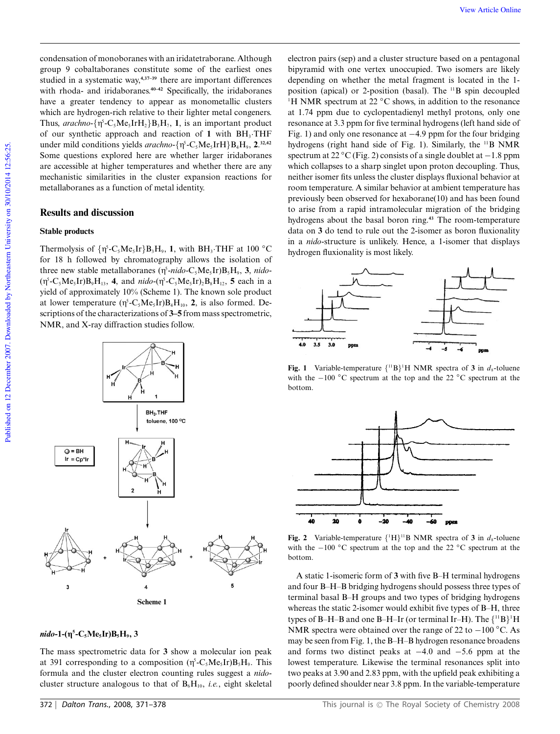condensation of monoboranes with an iridatetraborane. Although group 9 cobaltaboranes constitute some of the earliest ones studied in a systematic way,**4,37–39** there are important differences with rhoda- and iridaboranes.**40–42** Specifically, the iridaboranes have a greater tendency to appear as monometallic clusters which are hydrogen-rich relative to their lighter metal congeners. Thus,  $arachno$ - $\{\eta^5$ - $C_5Me_5IrH_2\}B_3H_7$ , **1**, is an important product of our synthetic approach and reaction of 1 with BH<sub>3</sub>.THF under mild conditions yields  $arachno - {η<sup>5</sup>-C<sub>5</sub>Me<sub>5</sub>IrH}B<sub>4</sub>H<sub>9</sub>,$   $2^{32,42}$ Some questions explored here are whether larger iridaboranes are accessible at higher temperatures and whether there are any mechanistic similarities in the cluster expansion reactions for metallaboranes as a function of metal identity.

## **Results and discussion**

#### **Stable products**

Thermolysis of  $\{\eta^5$ -C<sub>5</sub>Me<sub>5</sub>Ir}B<sub>3</sub>H<sub>9</sub>, 1, with BH<sub>3</sub>·THF at 100 °C for 18 h followed by chromatography allows the isolation of three new stable metallaboranes ( $\eta^5$ -nido-C<sub>5</sub>Me<sub>5</sub>Ir)B<sub>5</sub>H<sub>9</sub>, 3, *nido*- $(\eta^5$ -C<sub>5</sub>Me<sub>5</sub>Ir)B<sub>9</sub>H<sub>13</sub>, **4**, and *nido*- $(\eta^5$ -C<sub>5</sub>Me<sub>5</sub>Ir)<sub>2</sub>B<sub>8</sub>H<sub>12</sub>, **5** each in a yield of approximately 10% (Scheme 1). The known sole product at lower temperature  $(\eta^5$ -C<sub>5</sub>Me<sub>5</sub>Ir)B<sub>4</sub>H<sub>10</sub>, 2, is also formed. Descriptions of the characterizations of **3–5** from mass spectrometric, NMR, and X-ray diffraction studies follow.



### *nido***-1-(g 5 -C5Me5Ir)B5H<sup>9</sup> , 3**

The mass spectrometric data for **3** show a molecular ion peak at 391 corresponding to a composition  $(\eta^5$ -C<sub>5</sub>Me<sub>5</sub>Ir)B<sub>5</sub>H<sub>9</sub>. This formula and the cluster electron counting rules suggest a *nido*cluster structure analogous to that of  $B_6H_{10}$ , *i.e.*, eight skeletal

electron pairs (sep) and a cluster structure based on a pentagonal bipyramid with one vertex unoccupied. Two isomers are likely depending on whether the metal fragment is located in the 1 position (apical) or 2-position (basal). The <sup>11</sup>B spin decoupled <sup>1</sup>H NMR spectrum at 22  $\rm{^{\circ}C}$  shows, in addition to the resonance at 1.74 ppm due to cyclopentadienyl methyl protons, only one resonance at 3.3 ppm for five terminal hydrogens (left hand side of Fig. 1) and only one resonance at −4.9 ppm for the four bridging hydrogens (right hand side of Fig. 1). Similarly, the <sup>11</sup>B NMR spectrum at 22 °C (Fig. 2) consists of a single doublet at −1.8 ppm which collapses to a sharp singlet upon proton decoupling. Thus, neither isomer fits unless the cluster displays fluxional behavior at room temperature. A similar behavior at ambient temperature has previously been observed for hexaborane(10) and has been found to arise from a rapid intramolecular migration of the bridging hydrogens about the basal boron ring.**<sup>43</sup>** The room-temperature data on **3** do tend to rule out the 2-isomer as boron fluxionality in a *nido*-structure is unlikely. Hence, a 1-isomer that displays hydrogen fluxionality is most likely.



**Fig. 1** Variable-temperature  $\{^{11}B\}^1H$  NMR spectra of 3 in  $d_8$ -toluene with the −100 °C spectrum at the top and the 22 °C spectrum at the bottom.



**Fig. 2** Variable-temperature  $\{^1H\}^{11}B$  NMR spectra of 3 in  $d_8$ -toluene with the −100 ◦C spectrum at the top and the 22 ◦C spectrum at the bottom.

A static 1-isomeric form of **3** with five B–H terminal hydrogens and four B–H–B bridging hydrogens should possess three types of terminal basal B–H groups and two types of bridging hydrogens whereas the static 2-isomer would exhibit five types of B–H, three types of B–H–B and one B–H–Ir (or terminal Ir–H). The  $\{$   $\rm ^{11}B\}$   $\rm ^1H$ NMR spectra were obtained over the range of 22 to −100 °C. As may be seen from Fig. 1, the B–H–B hydrogen resonance broadens and forms two distinct peaks at −4.0 and −5.6 ppm at the lowest temperature. Likewise the terminal resonances split into two peaks at 3.90 and 2.83 ppm, with the upfield peak exhibiting a poorly defined shoulder near 3.8 ppm. In the variable-temperature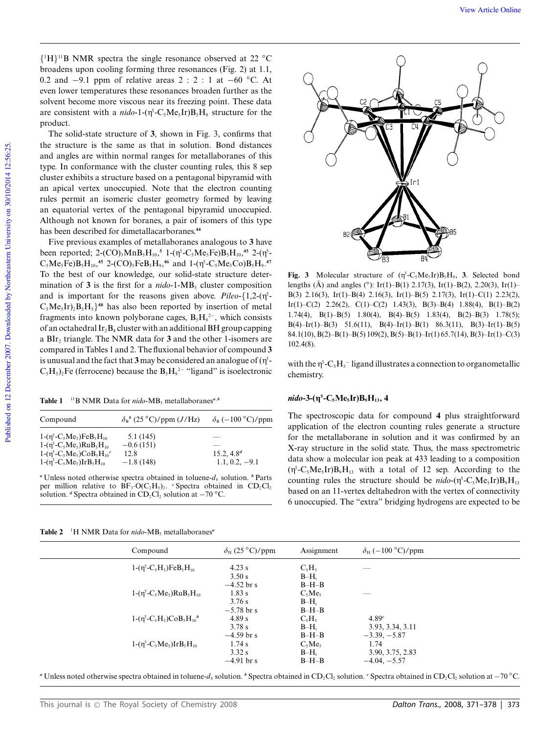{ <sup>1</sup>H} <sup>11</sup>B NMR spectra the single resonance observed at 22 ◦C broadens upon cooling forming three resonances (Fig. 2) at 1.1, 0.2 and −9.1 ppm of relative areas 2 : 2 : 1 at −60 ◦C. At even lower temperatures these resonances broaden further as the solvent become more viscous near its freezing point. These data are consistent with a  $nido$ -1-( $\eta^5$ -C<sub>5</sub>Me<sub>5</sub>Ir)B<sub>5</sub>H<sub>9</sub> structure for the product.

The solid-state structure of **3**, shown in Fig. 3, confirms that the structure is the same as that in solution. Bond distances and angles are within normal ranges for metallaboranes of this type. In conformance with the cluster counting rules, this 8 sep cluster exhibits a structure based on a pentagonal bipyramid with an apical vertex unoccupied. Note that the electron counting rules permit an isomeric cluster geometry formed by leaving an equatorial vertex of the pentagonal bipyramid unoccupied. Although not known for boranes, a pair of isomers of this type has been described for dimetallacarboranes.**<sup>44</sup>**

Five previous examples of metallaboranes analogous to **3** have been reported;  $2-(CO)_3MnB_5H_{10}$ ,<sup>5</sup>  $1-(\eta^5-C_5Me_5Fe)B_5H_{10}$ ,<sup>45</sup>  $2-(\eta^5-C_5R_5)$  $C_5Me_5Fe$ ) $B_5H_{10}$ ,<sup>45</sup> 2-(CO)<sub>3</sub>FeB<sub>5</sub>H<sub>9</sub>,<sup>46</sup> and 1-( $\eta$ <sup>5</sup>-C<sub>5</sub>Me<sub>5</sub>Co) $B_5H_9$ <sup>47</sup> To the best of our knowledge, our solid-state structure determination of **3** is the first for a *nido*-1-MB<sub>5</sub> cluster composition and is important for the reasons given above.  $Pileo-{1,2-(\eta^5-)}$  $C_5Me_5Ir$ <sub>2</sub> $B_5H_5$ <sup>48</sup> has also been reported by insertion of metal fragments into known polyborane cages,  $B_5H_9^2$ , which consists of an octahedral  $Ir_2B_4$  cluster with an additional BH group capping a BIr<sup>2</sup> triangle. The NMR data for **3** and the other 1-isomers are compared in Tables 1 and 2. The fluxional behavior of compound **3** is unusual and the fact that  $3$  may be considered an analogue of  $(\eta^5$ - $C_5H_5$ )<sub>2</sub>Fe (ferrocene) because the  $B_5H_9^{2-}$  "ligand" is isoelectronic

Table 1<sup>11</sup>B NMR Data for *nido*-MB<sub>5</sub> metallaboranes<sup>*a*,*b*</sup>

| Compound                                                           | $\delta_{\rm B}^b$ (25 °C)/ppm (J/Hz) | $\delta_{\rm B}$ (-100 °C)/ppm |
|--------------------------------------------------------------------|---------------------------------------|--------------------------------|
| $1-(\eta^5-C_5Me_5)FeB_5H_{10}$<br>$1-(\eta^5-C_5Me_5)RuB_5H_{10}$ | 5.1(145)<br>$-0.6(151)$               |                                |
| $1-(\eta^5-C_5Me_5)CoB_5H_{10}^c$                                  | 12.8                                  | 15.2, 4.8 <sup>d</sup>         |
| $1-(\eta^5-C_5Me_5)IrB_5H_{10}$                                    | $-1.8(148)$                           | $1.1, 0.2, -9.1$               |

 $a$ <sup> $a$ </sup>Unless noted otherwise spectra obtained in toluene- $d_8$  solution.  $b$  Parts per million relative to  $BF_3 \cdot O(C_2H_5)_2$ . *c* Spectra obtained in CD<sub>2</sub>Cl<sub>2</sub> solution. *d* Spectra obtained in  $CD_2Cl_2$  solution at  $-70$  °C.



**Fig. 3** Molecular structure of  $(\eta^5 - C_5Me_5Ir)B_5H_9$ , **3**. Selected bond lengths (Å) and angles (°): Ir(1)–B(1) 2.17(3), Ir(1)–B(2), 2.20(3), Ir(1)– B(3) 2.16(3), Ir(1)–B(4) 2.16(3), Ir(1)–B(5) 2.17(3), Ir(1)–C(1) 2.23(2), Ir(1)–C(2) 2.26(2), C(1)–C(2) 1.43(3), B(3)–B(4) 1.88(4), B(1)–B(2) 1.74(4), B(1)–B(5) 1.80(4), B(4)–B(5) 1.83(4), B(2)–B(3) 1.78(5); B(4)–Ir(1)–B(3) 51.6(11), B(4)–Ir(1)–B(1) 86.3(11), B(3)–Ir(1)–B(5) 84.1(10), B(2)–B(1)–B(5) 109(2), B(5)–B(1)–Ir(1) 65.7(14), B(3)–Ir(1)–C(3) 102.4(8).

with the  $\eta^5$ -C<sub>5</sub>H<sub>5</sub> ligand illustrates a connection to organometallic chemistry.

#### *nido***-3-(g 5 -C5Me5Ir)B9H13, 4**

The spectroscopic data for compound **4** plus straightforward application of the electron counting rules generate a structure for the metallaborane in solution and it was confirmed by an X-ray structure in the solid state. Thus, the mass spectrometric data show a molecular ion peak at 433 leading to a composition  $(\eta^5$ -C<sub>5</sub>Me<sub>5</sub>Ir)B<sub>9</sub>H<sub>13</sub> with a total of 12 sep. According to the counting rules the structure should be  $nido$ - $(\eta^5$ - $C_5Me$ <sub>5</sub>Ir) $B_9H_{13}$ based on an 11-vertex deltahedron with the vertex of connectivity 6 unoccupied. The "extra" bridging hydrogens are expected to be

Table 2<sup>1</sup>H NMR Data for *nido*-MB<sub>5</sub> metallaboranes<sup>*a*</sup>

| Compound                            | $\delta_{\rm H}$ (25 °C)/ppm | Assignment | $\delta_{\rm H}$ (-100 °C)/ppm |
|-------------------------------------|------------------------------|------------|--------------------------------|
| $1-(\eta^5-C_5H_5)FeB_5H_{10}$      | $4.23$ s                     | $C_5H_5$   | _                              |
|                                     | 3.50 s                       | $B-Hr$     |                                |
|                                     | $-4.52$ br s                 | $B-H-B$    |                                |
| $1-(\eta^5 - C_5 M e_5)RuB_5H_{10}$ | 1.83 s                       | $C_5Me_5$  | _                              |
|                                     | 3.76 s                       | $B-H_{1}$  |                                |
|                                     | $-5.78$ br s                 | $B-H-B$    |                                |
| $1-(\eta^5-C_5H_5)COB_5H_{10}^b$    | 4.89 s                       | $C_5H_5$   | 4.89c                          |
|                                     | 3.78 s                       | $B-Hr$     | 3.93, 3.34, 3.11               |
|                                     | $-4.59$ br s                 | $B-H-B$    | $-3.39, -5.87$                 |
| $1-(\eta^5-C_5Me_5)IrB_5H_{10}$     | 1.74 s                       | $C_5Me_5$  | 1.74                           |
|                                     | 3.32 s                       | $B-Hr$     | 3.90, 3.75, 2.83               |
|                                     | $-4.91$ br s                 | $B-H-B$    | $-4.04, -5.57$                 |
|                                     |                              |            |                                |

*a* Unless noted otherwise spectra obtained in toluene-*d*<sub>8</sub> solution. *b* Spectra obtained in CD<sub>2</sub>Cl<sub>2</sub> solution. *c* Spectra obtained in CD<sub>2</sub>Cl<sub>2</sub> solution at −70 °C.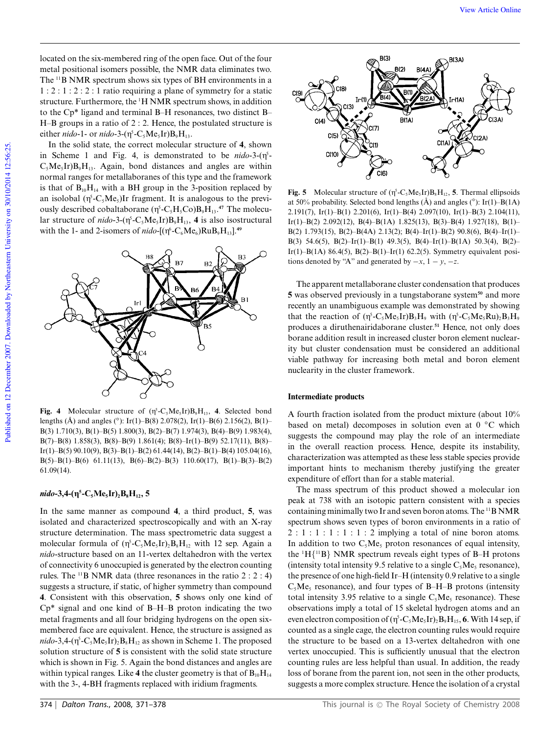located on the six-membered ring of the open face. Out of the four metal positional isomers possible, the NMR data eliminates two. The <sup>11</sup>B NMR spectrum shows six types of BH environments in a 1 : 2 : 1 : 2 : 2 : 1 ratio requiring a plane of symmetry for a static structure. Furthermore, the <sup>1</sup>H NMR spectrum shows, in addition to the Cp\* ligand and terminal B–H resonances, two distinct B– H–B groups in a ratio of 2 : 2. Hence, the postulated structure is either *nido*-1- or *nido*-3-( $\eta^5$ -C<sub>5</sub>Me<sub>5</sub>Ir)B<sub>9</sub>H<sub>13</sub>.

In the solid state, the correct molecular structure of **4**, shown in Scheme 1 and Fig. 4, is demonstrated to be  $nido-3-(\eta^5 C_5Me_5Ir)B_9H_{13}$ . Again, bond distances and angles are within normal ranges for metallaboranes of this type and the framework is that of  $B_{10}H_{14}$  with a BH group in the 3-position replaced by an isolobal  $(\eta^5$ -C<sub>5</sub>Me<sub>5</sub>)Ir fragment. It is analogous to the previously described cobaltaborane  $(\eta^5$ -C<sub>5</sub>H<sub>5</sub>Co)B<sub>9</sub>H<sub>13</sub>.<sup>47</sup> The molecular structure of  $nido-3-(\eta^5-C_5Me_5Ir)B_9H_{13}$ , **4** is also isostructural with the 1- and 2-isomers of *nido*-[ $(\eta^6$ -C<sub>6</sub>Me<sub>6</sub>)RuB<sub>9</sub>H<sub>13</sub>].<sup>49</sup>



**Fig. 4** Molecular structure of  $(\eta^5$ -C<sub>5</sub>Me<sub>5</sub>Ir)B<sub>9</sub>H<sub>13</sub>, **4**. Selected bond lengths (Å) and angles (°): Ir(1)–B(8) 2.078(2), Ir(1)–B(6) 2.156(2), B(1)– B(3) 1.710(3), B(1)–B(5) 1.800(3), B(2)–B(7) 1.974(3), B(4)–B(9) 1.983(4), B(7)–B(8) 1.858(3), B(8)–B(9) 1.861(4); B(8)–Ir(1)–B(9) 52.17(11), B(8)– Ir(1)–B(5) 90.10(9), B(3)–B(1)–B(2) 61.44(14), B(2)–B(1)–B(4) 105.04(16), B(5)–B(1)–B(6) 61.11(13), B(6)–B(2)–B(3) 110.60(17), B(1)–B(3)–B(2) 61.09(14).

#### *nido***-3,4-(g 5 -C5Me5Ir)2B8H12, 5**

In the same manner as compound **4**, a third product, **5**, was isolated and characterized spectroscopically and with an X-ray structure determination. The mass spectrometric data suggest a molecular formula of  $(\eta^5$ -C<sub>5</sub>Me<sub>5</sub>Ir)<sub>2</sub>B<sub>8</sub>H<sub>12</sub> with 12 sep. Again a *nido*-structure based on an 11-vertex deltahedron with the vertex of connectivity 6 unoccupied is generated by the electron counting rules. The <sup>11</sup>B NMR data (three resonances in the ratio  $2:2:4$ ) suggests a structure, if static, of higher symmetry than compound **4**. Consistent with this observation, **5** shows only one kind of Cp\* signal and one kind of B–H–B proton indicating the two metal fragments and all four bridging hydrogens on the open sixmembered face are equivalent. Hence, the structure is assigned as  $nido$ -3,4-( $\eta^5$ -C<sub>5</sub>Me<sub>5</sub>Ir)<sub>2</sub>B<sub>8</sub>H<sub>12</sub> as shown in Scheme 1. The proposed solution structure of **5** is consistent with the solid state structure which is shown in Fig. 5. Again the bond distances and angles are within typical ranges. Like 4 the cluster geometry is that of  $B_{10}H_{14}$ with the 3-, 4-BH fragments replaced with iridium fragments.



**Fig. 5** Molecular structure of  $(\eta^5 - C_5Me_5Ir)B_8H_{12}$ , **5**. Thermal ellipsoids at 50% probability. Selected bond lengths  $(\AA)$  and angles (°): Ir(1)–B(1A) 2.191(7), Ir(1)–B(1) 2.201(6), Ir(1)–B(4) 2.097(10), Ir(1)–B(3) 2.104(11), Ir(1)–B(2) 2.092(12), B(4)–B(1A) 1.825(13), B(3)–B(4) 1.927(18), B(1)– B(2) 1.793(15), B(2)–B(4A) 2.13(2); B(4)–Ir(1)–B(2) 90.8(6), B(4)–Ir(1)– B(3) 54.6(5), B(2)–Ir(1)–B(1) 49.3(5), B(4)–Ir(1)–B(1A) 50.3(4), B(2)– Ir(1)–B(1A) 86.4(5), B(2)–B(1)–Ir(1) 62.2(5). Symmetry equivalent positions denoted by "A" and generated by  $-x$ ,  $1 - y$ ,  $-z$ .

The apparent metallaborane cluster condensation that produces **5** was observed previously in a tungstaborane system**<sup>50</sup>** and more recently an unambiguous example was demonstrated by showing that the reaction of  $(\eta^5$ -C<sub>5</sub>Me<sub>5</sub>Ir)B<sub>3</sub>H<sub>9</sub> with  $(\eta^5$ -C<sub>5</sub>Me<sub>5</sub>Ru)<sub>2</sub>B<sub>3</sub>H<sub>9</sub> produces a diruthenairidaborane cluster.**<sup>51</sup>** Hence, not only does borane addition result in increased cluster boron element nuclearity but cluster condensation must be considered an additional viable pathway for increasing both metal and boron element nuclearity in the cluster framework.

#### **Intermediate products**

A fourth fraction isolated from the product mixture (about 10% based on metal) decomposes in solution even at 0 ◦C which suggests the compound may play the role of an intermediate in the overall reaction process. Hence, despite its instability, characterization was attempted as these less stable species provide important hints to mechanism thereby justifying the greater expenditure of effort than for a stable material.

The mass spectrum of this product showed a molecular ion peak at 738 with an isotopic pattern consistent with a species containing minimally two Ir and seven boron atoms. The  $11$ B NMR spectrum shows seven types of boron environments in a ratio of  $2:1:1:1:1:1:2$  implying a total of nine boron atoms. In addition to two  $C_5Me_5$  proton resonances of equal intensity, the  ${}^{1}H{^{11}B}$  NMR spectrum reveals eight types of B-H protons (intensity total intensity 9.5 relative to a single  $C_5Me_5$  resonance), the presence of one high-field Ir–H (intensity 0.9 relative to a single  $C_5Me_5$  resonance), and four types of B–H–B protons (intensity total intensity 3.95 relative to a single  $C_5Me_5$  resonance). These observations imply a total of 15 skeletal hydrogen atoms and an even electron composition of  $(\eta^5\text{-}C_5\text{Me}_5\text{Ir})_2\text{B}_9\text{H}_{15}$ , **6**. With 14 sep, if counted as a single cage, the electron counting rules would require the structure to be based on a 13-vertex deltahedron with one vertex unoccupied. This is sufficiently unusual that the electron counting rules are less helpful than usual. In addition, the ready loss of borane from the parent ion, not seen in the other products, suggests a more complex structure. Hence the isolation of a crystal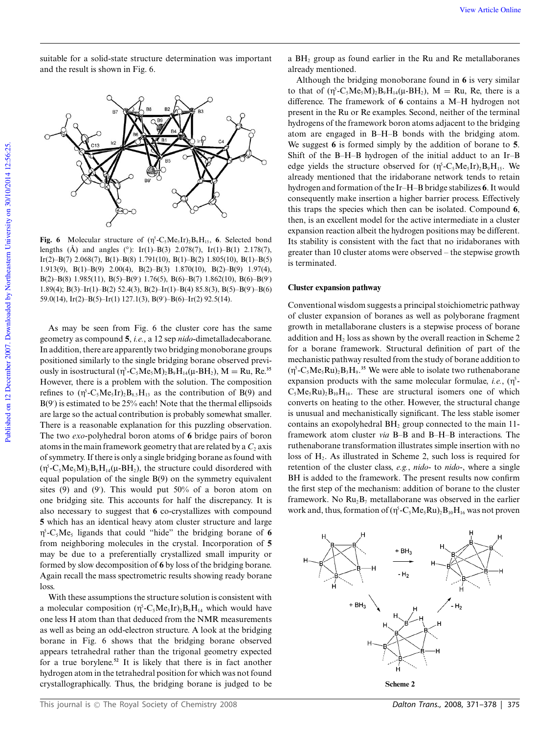suitable for a solid-state structure determination was important and the result is shown in Fig. 6.



**Fig. 6** Molecular structure of  $(\eta^5 - C_5Me_5Ir)_2B_9H_{15}$ , **6**. Selected bond lengths  $(\text{\AA})$  and angles (°): Ir(1)–B(3) 2.078(7), Ir(1)–B(1) 2.178(7), Ir(2)–B(7) 2.068(7), B(1)–B(8) 1.791(10), B(1)–B(2) 1.805(10), B(1)–B(5) 1.913(9), B(1)–B(9) 2.00(4), B(2)–B(3) 1.870(10), B(2)–B(9) 1.97(4), B(2)–B(8) 1.985(11), B(5)–B(9′ ) 1.76(5), B(6)–B(7) 1.862(10), B(6)–B(9′ ) 1.89(4); B(3)–Ir(1)–B(2) 52.4(3), B(2)–Ir(1)–B(4) 85.8(3), B(5)–B(9′ )–B(6) 59.0(14), Ir(2)–B(5)–Ir(1) 127.1(3), B(9′ )–B(6)–Ir(2) 92.5(14).

As may be seen from Fig. 6 the cluster core has the same geometry as compound **5**, *i.e.*, a 12 sep *nido*-dimetalladecaborane. In addition, there are apparently two bridging monoborane groups positioned similarly to the single bridging borane observed previously in isostructural ( $\eta^5$ -C<sub>5</sub>Me<sub>5</sub>M)<sub>2</sub>B<sub>9</sub>H<sub>14</sub>( $\mu$ -BH<sub>2</sub>), M = Ru, Re.<sup>35</sup> However, there is a problem with the solution. The composition refines to  $(\eta^5$ -C<sub>5</sub>Me<sub>5</sub>Ir)<sub>2</sub>B<sub>8.5</sub>H<sub>13</sub> as the contribution of B(9) and B(9′ ) is estimated to be 25% each! Note that the thermal ellipsoids are large so the actual contribution is probably somewhat smaller. There is a reasonable explanation for this puzzling observation. The two *exo*-polyhedral boron atoms of **6** bridge pairs of boron atoms in the main framework geometry that are related by a  $C_2$  axis of symmetry. If there is only a single bridging borane as found with  $(\eta^5$ -C<sub>5</sub>Me<sub>5</sub>M)<sub>2</sub>B<sub>9</sub>H<sub>14</sub>( $\mu$ -BH<sub>2</sub>), the structure could disordered with equal population of the single B(9) on the symmetry equivalent sites (9) and (9'). This would put 50% of a boron atom on one bridging site. This accounts for half the discrepancy. It is also necessary to suggest that **6** co-crystallizes with compound **5** which has an identical heavy atom cluster structure and large g 5 -C5Me<sup>5</sup> ligands that could "hide" the bridging borane of **6** from neighboring molecules in the crystal. Incorporation of **5** may be due to a preferentially crystallized small impurity or formed by slow decomposition of **6** by loss of the bridging borane. Again recall the mass spectrometric results showing ready borane loss.

With these assumptions the structure solution is consistent with a molecular composition  $(\eta^5$ -C<sub>5</sub>Me<sub>5</sub>Ir)<sub>2</sub>B<sub>9</sub>H<sub>14</sub> which would have one less H atom than that deduced from the NMR measurements as well as being an odd-electron structure. A look at the bridging borane in Fig. 6 shows that the bridging borane observed appears tetrahedral rather than the trigonal geometry expected for a true borylene.**<sup>52</sup>** It is likely that there is in fact another hydrogen atom in the tetrahedral position for which was not found crystallographically. Thus, the bridging borane is judged to be a BH<sup>2</sup> group as found earlier in the Ru and Re metallaboranes already mentioned.

Although the bridging monoborane found in **6** is very similar to that of  $(\eta^5$ -C<sub>5</sub>Me<sub>5</sub>M<sub>2</sub>B<sub>9</sub>H<sub>14</sub>( $\mu$ -BH<sub>2</sub>), M = Ru, Re, there is a difference. The framework of **6** contains a M–H hydrogen not present in the Ru or Re examples. Second, neither of the terminal hydrogens of the framework boron atoms adjacent to the bridging atom are engaged in B–H–B bonds with the bridging atom. We suggest **6** is formed simply by the addition of borane to **5**. Shift of the B–H–B hydrogen of the initial adduct to an Ir–B edge yields the structure observed for  $(\eta^5$ -C<sub>5</sub>Me<sub>5</sub>Ir)<sub>2</sub>B<sub>9</sub>H<sub>15</sub>. We already mentioned that the iridaborane network tends to retain hydrogen and formation of the Ir–H–B bridge stabilizes **6**. It would consequently make insertion a higher barrier process. Effectively this traps the species which then can be isolated. Compound **6**, then, is an excellent model for the active intermediate in a cluster expansion reaction albeit the hydrogen positions may be different. Its stability is consistent with the fact that no iridaboranes with greater than 10 cluster atoms were observed – the stepwise growth is terminated.

#### **Cluster expansion pathway**

Conventional wisdom suggests a principal stoichiometric pathway of cluster expansion of boranes as well as polyborane fragment growth in metallaborane clusters is a stepwise process of borane addition and  $H_2$  loss as shown by the overall reaction in Scheme 2 for a borane framework. Structural definition of part of the mechanistic pathway resulted from the study of borane addition to  $(\eta^5$ -C<sub>5</sub>Me<sub>5</sub>Ru)<sub>2</sub>B<sub>3</sub>H<sub>9</sub>.<sup>35</sup> We were able to isolate two ruthenaborane expansion products with the same molecular formulae, *i.e.*,  $(\eta^5$ - $C_5Me_5Ru_2B_{10}H_{16}$ . These are structural isomers one of which converts on heating to the other. However, the structural change is unusual and mechanistically significant. The less stable isomer contains an exopolyhedral  $BH<sub>2</sub>$  group connected to the main 11framework atom cluster *via* B–B and B–H–B interactions. The ruthenaborane transformation illustrates simple insertion with no loss of  $H<sub>2</sub>$ . As illustrated in Scheme 2, such loss is required for retention of the cluster class, *e.g.*, *nido*- to *nido*-, where a single BH is added to the framework. The present results now confirm the first step of the mechanism: addition of borane to the cluster framework. No  $Ru_2B_7$  metallaborane was observed in the earlier work and, thus, formation of  $(\eta^5$ -C<sub>5</sub>Me<sub>5</sub>Ru)<sub>2</sub>B<sub>10</sub>H<sub>16</sub> was not proven

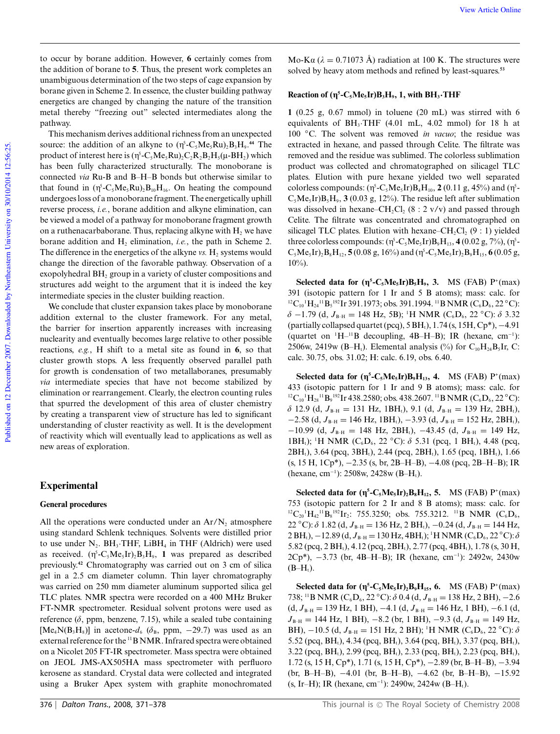to occur by borane addition. However, **6** certainly comes from the addition of borane to **5**. Thus, the present work completes an unambiguous determination of the two steps of cage expansion by borane given in Scheme 2. In essence, the cluster building pathway energetics are changed by changing the nature of the transition metal thereby "freezing out" selected intermediates along the pathway.

This mechanism derives additional richness from an unexpected source: the addition of an alkyne to  $(\eta^5$ -C<sub>5</sub>Me<sub>5</sub>Ru)<sub>2</sub>B<sub>3</sub>H<sub>9</sub>.<sup>44</sup> The product of interest here is  $(\eta^5$ -C<sub>5</sub>Me<sub>5</sub>Ru)<sub>2</sub>C<sub>2</sub>R<sub>2</sub>B<sub>2</sub>H<sub>5</sub>( $\mu$ -BH<sub>2</sub>) which has been fully characterized structurally. The monoborane is connected *via* Ru-B and B–H–B bonds but otherwise similar to that found in  $(\eta^5$ -C<sub>5</sub>Me<sub>5</sub>Ru)<sub>2</sub>B<sub>10</sub>H<sub>16</sub>. On heating the compound undergoes loss of a monoborane fragment. The energetically uphill reverse process, *i.e.*, borane addition and alkyne elimination, can be viewed a model of a pathway for monoborane fragment growth on a ruthenacarbaborane. Thus, replacing alkyne with  $H_2$  we have borane addition and  $H_2$  elimination, *i.e.*, the path in Scheme 2. The difference in the energetics of the alkyne  $vs. H_2$  systems would change the direction of the favorable pathway. Observation of a exopolyhedral  $BH<sub>2</sub>$  group in a variety of cluster compositions and structures add weight to the argument that it is indeed the key intermediate species in the cluster building reaction.

We conclude that cluster expansion takes place by monoborane addition external to the cluster framework. For any metal, the barrier for insertion apparently increases with increasing nuclearity and eventually becomes large relative to other possible reactions, *e.g.*, H shift to a metal site as found in **6**, so that cluster growth stops. A less frequently observed parallel path for growth is condensation of two metallaboranes, presumably *via* intermediate species that have not become stabilized by elimination or rearrangement. Clearly, the electron counting rules that spurred the development of this area of cluster chemistry by creating a transparent view of structure has led to significant understanding of cluster reactivity as well. It is the development of reactivity which will eventually lead to applications as well as new areas of exploration.

## **Experimental**

## **General procedures**

All the operations were conducted under an  $Ar/N<sub>2</sub>$  atmosphere using standard Schlenk techniques. Solvents were distilled prior to use under  $N_2$ . BH<sub>3</sub>·THF, LiBH<sub>4</sub> in THF (Aldrich) were used as received.  $(\eta^5$ -C<sub>5</sub>Me<sub>5</sub>Ir)<sub>2</sub>B<sub>3</sub>H<sub>9</sub>, 1 was prepared as described previously.**<sup>42</sup>** Chromatography was carried out on 3 cm of silica gel in a 2.5 cm diameter column. Thin layer chromatography was carried on 250 mm diameter aluminum supported silica gel TLC plates. NMR spectra were recorded on a 400 MHz Bruker FT-NMR spectrometer. Residual solvent protons were used as reference  $(\delta,$  ppm, benzene, 7.15), while a sealed tube containing [Me<sub>4</sub>N(B<sub>3</sub>H<sub>8</sub>)] in acetone- $d_6$  ( $\delta_B$ , ppm, -29.7) was used as an external reference for the <sup>11</sup>B NMR. Infrared spectra were obtained on a Nicolet 205 FT-IR spectrometer. Mass spectra were obtained on JEOL JMS-AX505HA mass spectrometer with perfluoro kerosene as standard. Crystal data were collected and integrated using a Bruker Apex system with graphite monochromated

Mo-Ka ( $\lambda = 0.71073$  Å) radiation at 100 K. The structures were solved by heavy atom methods and refined by least-squares.**<sup>53</sup>**

# **Reaction of (** $\eta^5$ **-C<sub>5</sub>Me<sub>5</sub>Ir)B<sub>3</sub>H<sub>9</sub>, 1, with BH<sub>3</sub>·THF**

**1** (0.25 g, 0.67 mmol) in toluene (20 mL) was stirred with 6 equivalents of BH<sub>3</sub>·THF (4.01 mL, 4.02 mmol) for 18 h at 100 ◦C. The solvent was removed *in vacuo*; the residue was extracted in hexane, and passed through Celite. The filtrate was removed and the residue was sublimed. The colorless sublimation product was collected and chromatographed on silicagel TLC plates. Elution with pure hexane yielded two well separated colorless compounds:  $(\eta^5\text{-}C_5\text{Me}_5\text{Ir})B_4\text{H}_{10}$ , **2**  $(0.11 \text{ g}, 45\%)$  and  $(\eta^5\text{-}C_5\text{Me}_5\text{Ir})B_4\text{H}_{10}$  $C_5Me_5Ir$ ) $B_5H_9$ , **3** (0.03 g, 12%). The residue left after sublimation was dissolved in hexane–CH<sub>2</sub>Cl<sub>2</sub> (8 : 2 v/v) and passed through Celite. The filtrate was concentrated and chromatographed on silicagel TLC plates. Elution with hexane–CH<sub>2</sub>Cl<sub>2</sub> (9 : 1) yielded three colorless compounds:  $(\eta^5\text{-}C_5\text{Me}_5\text{Ir})B_9\text{H}_{13}$ , **4** (0.02 g, 7%),  $(\eta^5\text{-}C_5\text{Me}_5\text{Ir})B_9\text{H}_{13}$  $C_5Me_5Ir$ <sub>2</sub> $B_8H_{12}$ , **5** (0.08 g, 16%) and ( $\eta$ <sup>5</sup> $-C_5Me_5Ir$ <sub>2</sub> $B_9H_{15}$ , **6** (0.05 g,  $10\%$ ).

**Selected data for**  $(\eta^5\text{-}C_5\text{Me}_5\text{Ir})B_5\text{H}_9$ **, 3. MS (FAB)**  $P^+(\text{max})$ 391 (isotopic pattern for 1 Ir and 5 B atoms); mass: calc. for <sup>12</sup>C<sub>10</sub><sup>1</sup>H<sub>24</sub><sup>11</sup>B<sub>5</sub><sup>192</sup>Ir 391.1973; obs. 391.1994. <sup>11</sup>B NMR (C<sub>6</sub>D<sub>6</sub>, 22 °C):  $\delta$  -1.79 (d,  $J_{\rm B-H}$  = 148 Hz, 5B); <sup>1</sup>H NMR (C<sub>6</sub>D<sub>6</sub>, 22 °C):  $\delta$  3.32 (partially collapsed quartet (pcq), 5 BH<sub>t</sub>), 1.74 (s, 15H, Cp<sup>\*</sup>), −4.91 (quartet on  $H^{-1}B$  decoupling, 4B–H–B); IR (hexane, cm<sup>-1</sup>): 2506w, 2419w (B–H<sub>t</sub>). Elemental analysis (%) for C<sub>10</sub>H<sub>24</sub>B<sub>2</sub>Ir, C: calc. 30.75, obs. 31.02; H: calc. 6.19, obs. 6.40.

**Selected data for**  $(\eta^5\text{-}C_5\text{Me}_5\text{Ir})B_9\text{H}_{13}$ **, 4. MS (FAB)**  $P^+(\text{max})$ 433 (isotopic pattern for 1 Ir and 9 B atoms); mass: calc. for <sup>12</sup>C<sub>10</sub><sup>1</sup>H<sub>28</sub><sup>11</sup>B<sub>9</sub><sup>192</sup>Ir 438.2580; obs. 438.2607. <sup>11</sup>B NMR (C<sub>6</sub>D<sub>6</sub>, 22 °C):  $\delta$  12.9 (d,  $J_{B-H} = 131$  Hz, 1BH<sub>t</sub>), 9.1 (d,  $J_{B-H} = 139$  Hz, 2BH<sub>t</sub>),  $-2.58$  (d,  $J_{B-H} = 146$  Hz, 1BH<sub>t</sub>),  $-3.93$  (d,  $J_{B-H} = 152$  Hz, 2BH<sub>t</sub>), −10.99 (d,  $J_{B-H}$  = 148 Hz, 2BH<sub>t</sub>), −43.45 (d,  $J_{B-H}$  = 149 Hz, 1BH<sub>t</sub>); <sup>1</sup>H NMR (C<sub>6</sub>D<sub>6</sub>, 22 °C):  $\delta$  5.31 (pcq, 1 BH<sub>t</sub>), 4.48 (pcq,  $2BH_t$ , 3.64 (pcq, 3BH<sub>t</sub>), 2.44 (pcq, 2BH<sub>t</sub>), 1.65 (pcq, 1BH<sub>t</sub>), 1.66 (s, 15 H, 1Cp\*), −2.35 (s, br, 2B–H–B), −4.08 (pcq, 2B–H–B); IR (hexane, cm<sup>-1</sup>): 2508w, 2428w (B–H<sub>t</sub>).

**Selected data for**  $(\eta^5$ **-C<sub>5</sub>Me<sub>5</sub>Ir)**<sub>2</sub>**B**<sub>8</sub>H<sub>12</sub>, 5. MS (FAB) P<sup>+</sup>(max) 753 (isotopic pattern for 2 Ir and 8 B atoms); mass: calc. for  ${}^{12}C_{20}$ <sup>1</sup> $H_{42}$ <sup>11</sup> $B_8$ <sup>192</sup> $Ir_2$ : 755.3250; obs. 755.3212. <sup>11</sup> $B$  NMR (C<sub>6</sub>D<sub>6</sub>, 22 °C):  $\delta$  1.82 (d, *J*<sub>B−H</sub> = 136 Hz, 2 BH<sub>t</sub>), -0.24 (d, *J*<sub>B−H</sub> = 144 Hz,  $2 BH<sub>t</sub>$ ),  $-12.89$  (d,  $J<sub>B-H</sub> = 130$  Hz,  $4BH<sub>t</sub>$ ); <sup>1</sup>H NMR (C<sub>6</sub>D<sub>6</sub>, 22 °C):  $\delta$ 5.82 (pcq, 2 BH<sub>t</sub>), 4.12 (pcq, 2BH<sub>t</sub>), 2.77 (pcq, 4BH<sub>t</sub>), 1.78 (s, 30 H, 2Cp\*), −3.73 (br, 4B–H–B); IR (hexane, cm<sup>−</sup><sup>1</sup> ): 2492w, 2430w  $(B-H_t).$ 

**Selected data for (g 5 -C5Me5Ir)2B9H15, 6.** MS (FAB) P<sup>+</sup> (max) 738; <sup>11</sup>B NMR (C<sub>6</sub>D<sub>6</sub>, 22 °C):  $\delta$  0.4 (d,  $J_{B-H}$  = 138 Hz, 2 BH), −2.6 (d, *J*<sub>B−H</sub> = 139 Hz, 1 BH), −4.1 (d, *J*<sub>B−H</sub> = 146 Hz, 1 BH), −6.1 (d, *J*<sub>B−H</sub> = 144 Hz, 1 BH), −8.2 (br, 1 BH), −9.3 (d, *J*<sub>B−H</sub> = 149 Hz, BH),  $-10.5$  (d,  $J_{B-H} = 151$  Hz, 2 BH); <sup>1</sup>H NMR (C<sub>6</sub>D<sub>6</sub>, 22 °C):  $\delta$ 5.52 (pcq, BH<sub>t</sub>), 4.34 (pcq, BH<sub>t</sub>), 3.64 (pcq, BH<sub>t</sub>), 3.37 (pcq, BH<sub>t</sub>),  $3.22$  (pcq, BH<sub>t</sub>), 2.99 (pcq, BH<sub>t</sub>), 2.33 (pcq, BH<sub>t</sub>), 2.23 (pcq, BH<sub>t</sub>), 1.72 (s, 15 H, Cp\*), 1.71 (s, 15 H, Cp\*), −2.89 (br, B–H–B), −3.94 (br, B–H–B), −4.01 (br, B–H–B), −4.62 (br, B–H–B), −15.92  $(s, Ir-H)$ ; IR (hexane, cm<sup>-1</sup>): 2490w, 2424w (B-H<sub>t</sub>).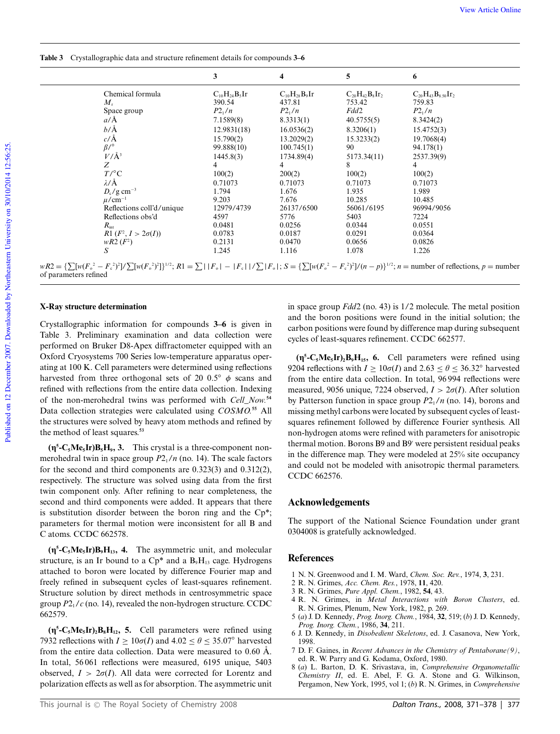**Table 3** Crystallographic data and structure refinement details for compounds **3–6**

|                            | 3                   | 4                   | 5                     | 6                          |
|----------------------------|---------------------|---------------------|-----------------------|----------------------------|
| Chemical formula           | $C_{10}H_{24}B_5Ir$ | $C_{10}H_{28}B_9Ir$ | $C_{20}H_{42}B_8Ir_2$ | $C_{20}H_{43}B_{8.50}Ir_2$ |
| $M_{\rm r}$                | 390.54              | 437.81              | 753.42                | 759.83                     |
| Space group                | $P2_1/n$            | $P2_1/n$            | Fdd2                  | $P2_1/n$                   |
| $a/\text{\AA}$             | 7.1589(8)           | 8.3313(1)           | 40.5755(5)            | 8.3424(2)                  |
| $b/\text{\AA}$             | 12.9831(18)         | 16.0536(2)          | 8.3206(1)             | 15.4752(3)                 |
| $c/\AA$                    | 15.790(2)           | 13.2029(2)          | 15.3233(2)            | 19.7068(4)                 |
| $\beta$ /°                 | 99.888(10)          | 100.745(1)          | 90                    | 94.178(1)                  |
| $V/\AA$ <sup>3</sup>       | 1445.8(3)           | 1734.89(4)          | 5173.34(11)           | 2537.39(9)                 |
| Ζ                          | 4                   | 4                   | 8                     | 4                          |
| $T/^{\circ}C$              | 100(2)              | 200(2)              | 100(2)                | 100(2)                     |
| $\lambda$ /Å               | 0.71073             | 0.71073             | 0.71073               | 0.71073                    |
| $D_c$ /g cm <sup>-3</sup>  | 1.794               | 1.676               | 1.935                 | 1.989                      |
| $\mu$ /cm <sup>-1</sup>    | 9.203               | 7.676               | 10.285                | 10.485                     |
| Reflections coll'd/unique  | 12979/4739          | 26137/6500          | 56061/6195            | 96994/9056                 |
| Reflections obs'd          | 4597                | 5776                | 5403                  | 7224                       |
| $R_{\rm int}$              | 0.0481              | 0.0256              | 0.0344                | 0.0551                     |
| R1 $(F^2, I > 2\sigma(I))$ | 0.0783              | 0.0187              | 0.0291                | 0.0364                     |
| $wR2 (F^2)$                | 0.2131              | 0.0470              | 0.0656                | 0.0826                     |
| S                          | 1.245               | 1.116               | 1.078                 | 1.226                      |

Published on 12 December 2007. Downloaded by Northeastern University on 30/10/2014 12:56:25. Published on 12 December 2007. Downloaded by Northeastern University on 30/10/2014 12:56:25.

#### **X-Ray structure determination**

of parameters refined

Crystallographic information for compounds **3–6** is given in Table 3. Preliminary examination and data collection were performed on Bruker D8-Apex diffractometer equipped with an Oxford Cryosystems 700 Series low-temperature apparatus operating at 100 K. Cell parameters were determined using reflections harvested from three orthogonal sets of 20 0.5<sup>°</sup>  $\phi$  scans and refined with reflections from the entire data collection. Indexing of the non-merohedral twins was performed with *Cell\_Now.***<sup>54</sup>** Data collection strategies were calculated using *COSMO.***<sup>55</sup>** All the structures were solved by heavy atom methods and refined by the method of least squares.**<sup>53</sup>**

 $(\eta^5 - C_5 M e_5 I r) B_5 H_9$ , 3. This crystal is a three-component nonmerohedral twin in space group  $P2<sub>1</sub>/n$  (no. 14). The scale factors for the second and third components are 0.323(3) and 0.312(2), respectively. The structure was solved using data from the first twin component only. After refining to near completeness, the second and third components were added. It appears that there is substitution disorder between the boron ring and the Cp\*; parameters for thermal motion were inconsistent for all B and C atoms. CCDC 662578.

**(g 5 -C5Me5Ir)B9H13, 4.** The asymmetric unit, and molecular structure, is an Ir bound to a  $Cp^*$  and a  $B_9H_{13}$  cage. Hydrogens attached to boron were located by difference Fourier map and freely refined in subsequent cycles of least-squares refinement. Structure solution by direct methods in centrosymmetric space group  $P2<sub>1</sub>/c$  (no. 14), revealed the non-hydrogen structure. CCDC 662579.

**(g 5 -C5Me5Ir)2B8H12, 5.** Cell parameters were refined using 7932 reflections with  $I \ge 10\sigma(I)$  and  $4.02 \le \theta \le 35.07^\circ$  harvested from the entire data collection. Data were measured to  $0.60 \text{ Å}$ . In total, 56 061 reflections were measured, 6195 unique, 5403 observed,  $I > 2\sigma(I)$ . All data were corrected for Lorentz and polarization effects as well as for absorption. The asymmetric unit in space group *Fdd*2 (no. 43) is 1/2 molecule. The metal position and the boron positions were found in the initial solution; the carbon positions were found by difference map during subsequent cycles of least-squares refinement. CCDC 662577.

**(g 5 -C5Me5Ir)2B9H15, 6.** Cell parameters were refined using 9204 reflections with  $I \ge 10\sigma(I)$  and  $2.63 \le \theta \le 36.32^{\circ}$  harvested from the entire data collection. In total, 96 994 reflections were measured, 9056 unique, 7224 observed,  $I > 2\sigma(I)$ . After solution by Patterson function in space group  $P2_1/n$  (no. 14), borons and missing methyl carbons were located by subsequent cycles of leastsquares refinement followed by difference Fourier synthesis. All non-hydrogen atoms were refined with parameters for anisotropic thermal motion. Borons B9 and B9′ were persistent residual peaks in the difference map. They were modeled at 25% site occupancy and could not be modeled with anisotropic thermal parameters. CCDC 662576.

# **Acknowledgements**

The support of the National Science Foundation under grant 0304008 is gratefully acknowledged.

## **References**

- 1 N. N. Greenwood and I. M. Ward, *Chem. Soc. Rev.*, 1974, **3**, 231.
- 2 R. N. Grimes, *Acc. Chem. Res.*, 1978, **11**, 420.
- 3 R. N. Grimes, *Pure Appl. Chem.*, 1982, **54**, 43.
- 4 R. N. Grimes, in *Metal Interactions with Boron Clusters*, ed. R. N. Grimes, Plenum, New York, 1982, p. 269.
- 5 (*a*) J. D. Kennedy, *Prog. Inorg. Chem.*, 1984, **32**, 519; (*b*) J. D. Kennedy, *Prog. Inorg. Chem.*, 1986, **34**, 211.
- 6 J. D. Kennedy, in *Disobedient Skeletons*, ed. J. Casanova, New York, 1998.
- 7 D. F. Gaines, in *Recent Advances in the Chemistry of Pentaborane(9)*, ed. R. W. Parry and G. Kodama, Oxford, 1980.
- 8 (*a*) L. Barton, D. K. Srivastava, in, *Comprehensive Organometallic Chemistry II*, ed. E. Abel, F. G. A. Stone and G. Wilkinson, Pergamon, New York, 1995, vol 1; (*b*) R. N. Grimes, in *Comprehensive*